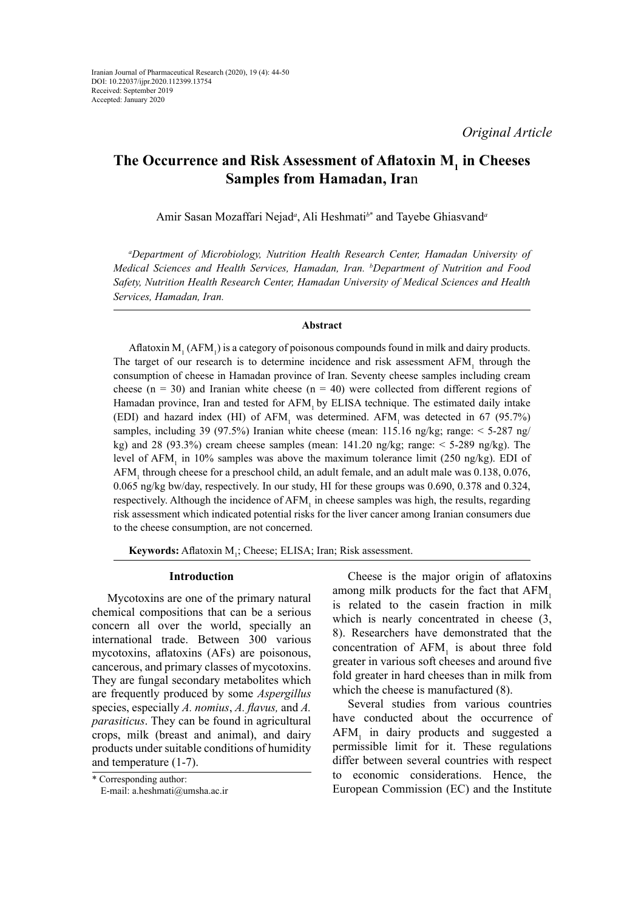# **The Occurrence and Risk Assessment of Aflatoxin M<sup>1</sup> in Cheeses Samples from Hamadan, Ira**n

Amir Sasan Mozaffari Nejad*<sup>a</sup>* , Ali Heshmati*<sup>b</sup>*\* and Tayebe Ghiasvand*<sup>a</sup>*

*a Department of Microbiology, Nutrition Health Research Center, Hamadan University of Medical Sciences and Health Services, Hamadan, Iran. b Department of Nutrition and Food Safety, Nutrition Health Research Center, Hamadan University of Medical Sciences and Health Services, Hamadan, Iran.*

# **Abstract**

Aflatoxin  $M_1$  (AFM<sub>1</sub>) is a category of poisonous compounds found in milk and dairy products. The target of our research is to determine incidence and risk assessment  $AFM<sub>1</sub>$  through the consumption of cheese in Hamadan province of Iran. Seventy cheese samples including cream cheese ( $n = 30$ ) and Iranian white cheese ( $n = 40$ ) were collected from different regions of Hamadan province, Iran and tested for AFM, by ELISA technique. The estimated daily intake (EDI) and hazard index (HI) of  $AFM_1$  was determined.  $AFM_1$  was detected in 67 (95.7%) samples, including 39 (97.5%) Iranian white cheese (mean: 115.16 ng/kg; range:  $\leq$  5-287 ng/ kg) and 28 (93.3%) cream cheese samples (mean:  $141.20$  ng/kg; range:  $\lt$  5-289 ng/kg). The level of  $AFM<sub>1</sub>$  in 10% samples was above the maximum tolerance limit (250 ng/kg). EDI of AFM<sub>1</sub> through cheese for a preschool child, an adult female, and an adult male was 0.138, 0.076, 0.065 ng/kg bw/day, respectively. In our study, HI for these groups was 0.690, 0.378 and 0.324, respectively. Although the incidence of  $AFM<sub>1</sub>$  in cheese samples was high, the results, regarding risk assessment which indicated potential risks for the liver cancer among Iranian consumers due to the cheese consumption, are not concerned.

**Keywords:** Aflatoxin M<sub>1</sub>; Cheese; ELISA; Iran; Risk assessment.

## **Introduction**

Mycotoxins are one of the primary natural chemical compositions that can be a serious concern all over the world, specially an international trade. Between 300 various mycotoxins, aflatoxins (AFs) are poisonous, cancerous, and primary classes of mycotoxins. They are fungal secondary metabolites which are frequently produced by some *Aspergillus* species, especially *A. nomius*, *A. flavus,* and *A. parasiticus*. They can be found in agricultural crops, milk (breast and animal), and dairy products under suitable conditions of humidity and temperature (1-7).

Cheese is the major origin of aflatoxins among milk products for the fact that AFM, is related to the casein fraction in milk which is nearly concentrated in cheese  $(3, 1)$ 8). Researchers have demonstrated that the concentration of  $AFM<sub>1</sub>$  is about three fold greater in various soft cheeses and around five fold greater in hard cheeses than in milk from which the cheese is manufactured (8).

Several studies from various countries have conducted about the occurrence of  $AFM<sub>1</sub>$  in dairy products and suggested a permissible limit for it. These regulations differ between several countries with respect to economic considerations. Hence, the European Commission (EC) and the Institute

<sup>\*</sup> Corresponding author: E-mail: a.heshmati@umsha.ac.ir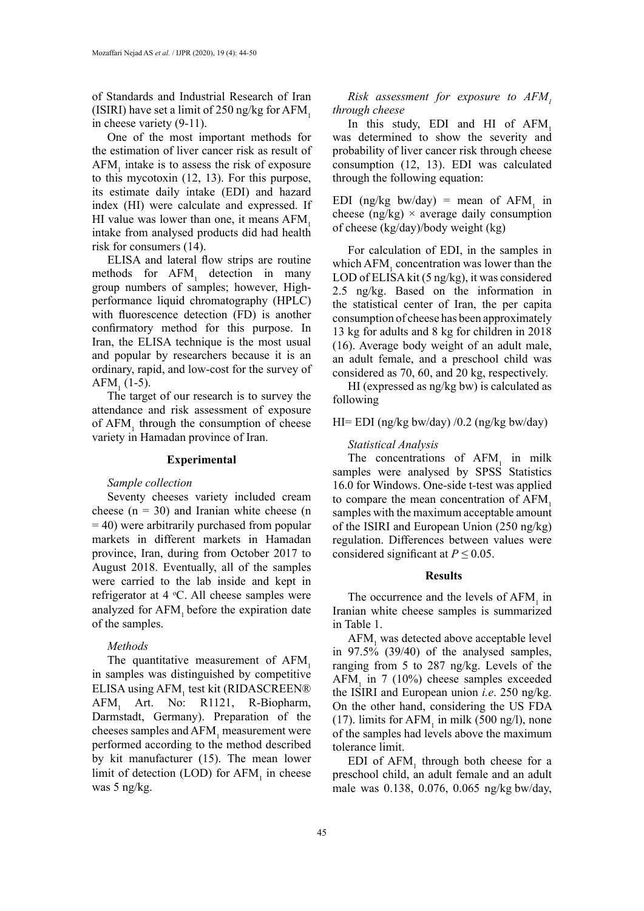of Standards and Industrial Research of Iran (ISIRI) have set a limit of 250 ng/kg for  $AFM$ <sub>1</sub> in cheese variety (9-11).

One of the most important methods for the estimation of liver cancer risk as result of  $AFM<sub>1</sub>$  intake is to assess the risk of exposure to this mycotoxin (12, 13). For this purpose, its estimate daily intake (EDI) and hazard index (HI) were calculate and expressed. If HI value was lower than one, it means AFM, intake from analysed products did had health risk for consumers (14).

ELISA and lateral flow strips are routine methods for  $AFM<sub>1</sub>$  detection in many group numbers of samples; however, Highperformance liquid chromatography (HPLC) with fluorescence detection (FD) is another confirmatory method for this purpose. In Iran, the ELISA technique is the most usual and popular by researchers because it is an ordinary, rapid, and low-cost for the survey of  $AFM<sub>1</sub>$  (1-5).

The target of our research is to survey the attendance and risk assessment of exposure of  $AFM<sub>1</sub>$  through the consumption of cheese variety in Hamadan province of Iran.

#### **Experimental**

# *Sample collection*

Seventy cheeses variety included cream cheese  $(n = 30)$  and Iranian white cheese  $(n = 10)$  $=$  40) were arbitrarily purchased from popular markets in different markets in Hamadan province, Iran, during from October 2017 to August 2018. Eventually, all of the samples were carried to the lab inside and kept in refrigerator at 4 °C. All cheese samples were analyzed for AFM, before the expiration date of the samples.

## *Methods*

The quantitative measurement of AFM. in samples was distinguished by competitive ELISA using AFM<sub>1</sub> test kit (RIDASCREEN® AFM<sub>1</sub> Art. No: R1121, R-Biopharm, Darmstadt, Germany). Preparation of the cheeses samples and  $AFM$ <sub>1</sub> measurement were performed according to the method described by kit manufacturer (15). The mean lower limit of detection (LOD) for  $AFM<sub>1</sub>$  in cheese was 5 ng/kg.

*Risk assessment for exposure to AFM*, *through cheese* 

In this study, EDI and HI of AFM, was determined to show the severity and probability of liver cancer risk through cheese consumption (12, 13). EDI was calculated through the following equation:

EDI (ng/kg bw/day) = mean of  $AFM_1$  in cheese (ng/kg)  $\times$  average daily consumption of cheese (kg/day)/body weight (kg)

For calculation of EDI, in the samples in which  $AFM<sub>1</sub>$  concentration was lower than the LOD of ELISA kit (5 ng/kg), it was considered 2.5 ng/kg. Based on the information in the statistical center of Iran, the per capita consumption of cheese has been approximately 13 kg for adults and 8 kg for children in 2018 (16). Average body weight of an adult male, an adult female, and a preschool child was considered as 70, 60, and 20 kg, respectively.

HI (expressed as ng/kg bw) is calculated as following

# HI= EDI (ng/kg bw/day) /0.2 (ng/kg bw/day)

### *Statistical Analysis*

The concentrations of  $AFM<sub>1</sub>$  in milk samples were analysed by SPSS Statistics 16.0 for Windows. One-side t-test was applied to compare the mean concentration of AFM<sub>1</sub> samples with the maximum acceptable amount of the ISIRI and European Union (250 ng/kg) regulation. Differences between values were considered significant at  $P \leq 0.05$ .

#### **Results**

The occurrence and the levels of  $AFM<sub>1</sub>$  in Iranian white cheese samples is summarized in Table 1.

 $\text{AFM}_1$  was detected above acceptable level in  $97.5\%$  (39/40) of the analysed samples, ranging from 5 to 287 ng/kg. Levels of the  $AFM<sub>1</sub>$  in 7 (10%) cheese samples exceeded the ISIRI and European union *i.e*. 250 ng/kg. On the other hand, considering the US FDA (17). limits for  $AFM_1$  in milk (500 ng/l), none of the samples had levels above the maximum tolerance limit.

EDI of  $AFM<sub>1</sub>$  through both cheese for a preschool child, an adult female and an adult male was 0.138, 0.076, 0.065 ng/kg bw/day,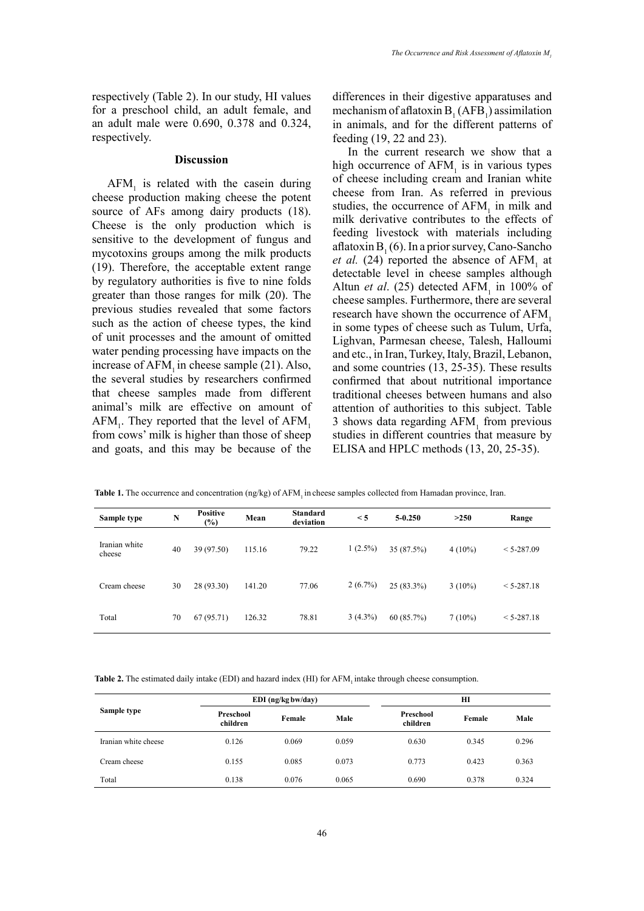respectively (Table 2). In our study, HI values for a preschool child, an adult female, and an adult male were 0.690, 0.378 and 0.324, respectively.

## **Discussion**

 $AFM<sub>1</sub>$  is related with the casein during cheese production making cheese the potent source of AFs among dairy products (18). Cheese is the only production which is sensitive to the development of fungus and mycotoxins groups among the milk products (19). Therefore, the acceptable extent range by regulatory authorities is five to nine folds greater than those ranges for milk (20). The previous studies revealed that some factors such as the action of cheese types, the kind of unit processes and the amount of omitted water pending processing have impacts on the increase of  $AFM$ , in cheese sample  $(21)$ . Also, the several studies by researchers confirmed that cheese samples made from different animal's milk are effective on amount of  $AFM_1$ . They reported that the level of  $AFM_1$ from cows' milk is higher than those of sheep and goats, and this may be because of the

differences in their digestive apparatuses and mechanism of aflatoxin  $B_1(AFB_1)$  assimilation in animals, and for the different patterns of feeding (19, 22 and 23).

In the current research we show that a high occurrence of  $AFM<sub>1</sub>$  is in various types of cheese including cream and Iranian white cheese from Iran. As referred in previous studies, the occurrence of  $AFM<sub>1</sub>$  in milk and milk derivative contributes to the effects of feeding livestock with materials including aflatoxin  $B_1(6)$ . In a prior survey, Cano-Sancho *et al.* (24) reported the absence of  $AFM<sub>1</sub>$  at detectable level in cheese samples although Altun *et al.* (25) detected  $AFM<sub>1</sub>$  in 100% of cheese samples. Furthermore, there are several research have shown the occurrence of AFM. in some types of cheese such as Tulum, Urfa, Lighvan, Parmesan cheese, Talesh, Halloumi and etc., in Iran, Turkey, Italy, Brazil, Lebanon, and some countries (13, 25-35). These results confirmed that about nutritional importance traditional cheeses between humans and also attention of authorities to this subject. Table 3 shows data regarding  $AFM<sub>1</sub>$  from previous studies in different countries that measure by ELISA and HPLC methods (13, 20, 25-35).

Table 1. The occurrence and concentration (ng/kg) of AFM<sub>1</sub> in cheese samples collected from Hamadan province, Iran.

| Sample type             | N  | <b>Positive</b> | Mean   | <b>Standard</b> | $\leq$ 5   | $5 - 0.250$  | >250      | Range          |
|-------------------------|----|-----------------|--------|-----------------|------------|--------------|-----------|----------------|
|                         |    | $(\%)$          |        | deviation       |            |              |           |                |
| Iranian white<br>cheese | 40 | 39 (97.50)      | 115.16 | 79.22           | $1(2.5\%)$ | 35 (87.5%)   | $4(10\%)$ | $< 5 - 287.09$ |
| Cream cheese            | 30 | 28 (93.30)      | 141.20 | 77.06           | $2(6.7\%)$ | $25(83.3\%)$ | $3(10\%)$ | $< 5 - 287.18$ |
| Total                   | 70 | 67(95.71)       | 126.32 | 78.81           | $3(4.3\%)$ | 60(85.7%)    | $7(10\%)$ | $< 5 - 287.18$ |

**Table 2.** The estimated daily intake (EDI) and hazard index (HI) for AFM, intake through cheese consumption.

|                      |                       | $EDI$ (ng/kg bw/day) |       |                       | HІ     |       |
|----------------------|-----------------------|----------------------|-------|-----------------------|--------|-------|
| Sample type          | Preschool<br>children | Female               | Male  | Preschool<br>children | Female | Male  |
| Iranian white cheese | 0.126                 | 0.069                | 0.059 | 0.630                 | 0.345  | 0.296 |
| Cream cheese         | 0.155                 | 0.085                | 0.073 | 0.773                 | 0.423  | 0.363 |
| Total                | 0.138                 | 0.076                | 0.065 | 0.690                 | 0.378  | 0.324 |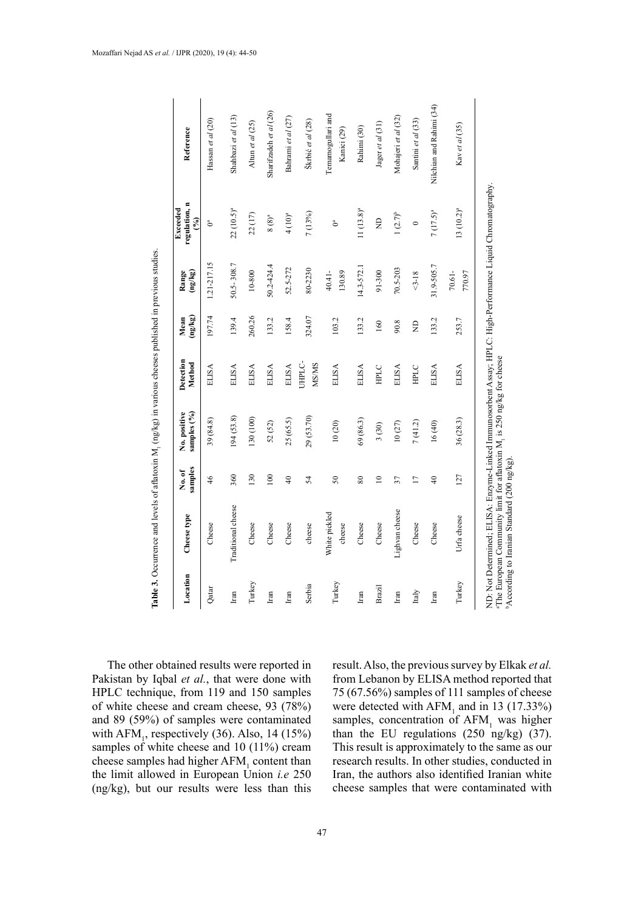| Location | Cheese type             | samples<br>No.of | No. positive<br>samples (%) | Detection<br>Method         | $(g\lambda/\delta u)$<br>Mean | $\left(\frac{5}{2}n\right)^2$<br>Range | regulation, n<br><b>Exceeded</b><br>$\mathcal{S}$ | Reference                        |
|----------|-------------------------|------------------|-----------------------------|-----------------------------|-------------------------------|----------------------------------------|---------------------------------------------------|----------------------------------|
| Qatar    | Cheese                  | $\frac{4}{6}$    | 39 (84.8)                   | ELISA                       | 197.74                        | 1.21-217.15                            | Ga                                                | Hassan et al $(20)$              |
| Iran     | Traditional cheese      | 360              | 194(53.8)                   | ELISA                       | 139.4                         | 50.5-308.7                             | $22(10.5)^a$                                      | Shahbazi et al (13)              |
| Turkey   | Cheese                  | 130              | $(100)$ 021                 | <b>ELISA</b>                | 260.26                        | 10-800                                 | 22 (17)                                           | Altun et al (25)                 |
| Iran     | Cheese                  | 100              | 52 (52)                     | <b>ELISA</b>                | 133.2                         | 50.2-424.4                             | $8(8)^a$                                          | Sharifzadeh et al (26)           |
| Iran     | Cheese                  | $\frac{1}{4}$    | 25(65.5)                    | <b>ELISA</b>                | 158.4                         | 52.5-272                               | 4(10) <sup>a</sup>                                | Bahrami et al (27)               |
| Serbia   | cheese                  | 54               | 29 (53.70)                  | <b>CHELC</b><br><b>MSMS</b> | 324.07                        | 80-2230                                | 7 (13%)                                           | Škrbić et al (28)                |
| Turkey   | White pickled<br>cheese | 50               | 10(20)                      | ELISA                       | 103.2                         | $40.41 -$<br>130.89                    | ి                                                 | Temamogullari and<br>Kanici (29) |
| Iran     | Cheese                  | $80\,$           | 69(86.3)                    | ELISA                       | 133.2                         | 14.3-572.                              | $11(13.8)^a$                                      | Rahimi (30)                      |
| Brazil   | Cheese                  | $\approx$        | 3(30)                       | HPLC                        | 160                           | 91-300                                 | $\overline{z}$                                    | Jager et al (31)                 |
| Iran     | Lighvan cheese          | 37               | $10\ (27)$                  | ELISA                       | 90.8                          | 70.5-203                               | $1(2.7)^{b}$                                      | Mohajeri et al (32)              |
| Italy    | Cheese                  | $\overline{1}$   | 7(41.2)                     | HPLC                        | g                             | $3 - 18$                               | $\circ$                                           | Santini et al (33)               |
| Iran     | Cheese                  | $\frac{1}{4}$    | 16(40)                      | <b>ELISA</b>                | 133.2                         | 31.9-505.7                             | $7(17.5)^a$                                       | Nilchian and Rahimi (34)         |
| Turkey   | Urfa cheese             | 127              | 36(28.3)                    | <b>ELISA</b>                | 253.7                         | 70.61-<br>770.97                       | $13(10.2)^a$                                      | Kav et al (35)                   |

**Table 3.** Occurrence and levels of aflatoxin M1 (ng/kg) in various cheeses published in previous studies. Table 3. Occurrence and levels of aflatoxin M<sub>1</sub> (ng/kg) in various cheeses published in previous studies. **Table 3.** Occurrence and levels of aflatoxin M1 (ng/kg) in various cheeses published in previous studies.

The other obtained results were reported in Pakistan by Iqbal *et al.*, that were done with HPLC technique, from 119 and 150 samples of white cheese and cream cheese, 93 (78%) and 89 (59%) of samples were contaminated with  $AFM<sub>1</sub>$ , respectively (36). Also, 14 (15%) samples of white cheese and 10 (11%) cream cheese samples had higher  $AFM<sub>1</sub>$  content than the limit allowed in European Union *i.e* 250 (ng/kg), but our results were less than this

result. Also, the previous survey by Elkak *et al.* from Lebanon by ELISA method reported that 75 (67.56%) samples of 111 samples of cheese were detected with  $AFM<sub>1</sub>$  and in 13 (17.33%) samples, concentration of  $AFM<sub>1</sub>$  was higher than the EU regulations (250 ng/kg) (37). This result is approximately to the same as our research results. In other studies, conducted in Iran, the authors also identified Iranian white cheese samples that were contaminated with

 $\sum_{i=1}^{n}$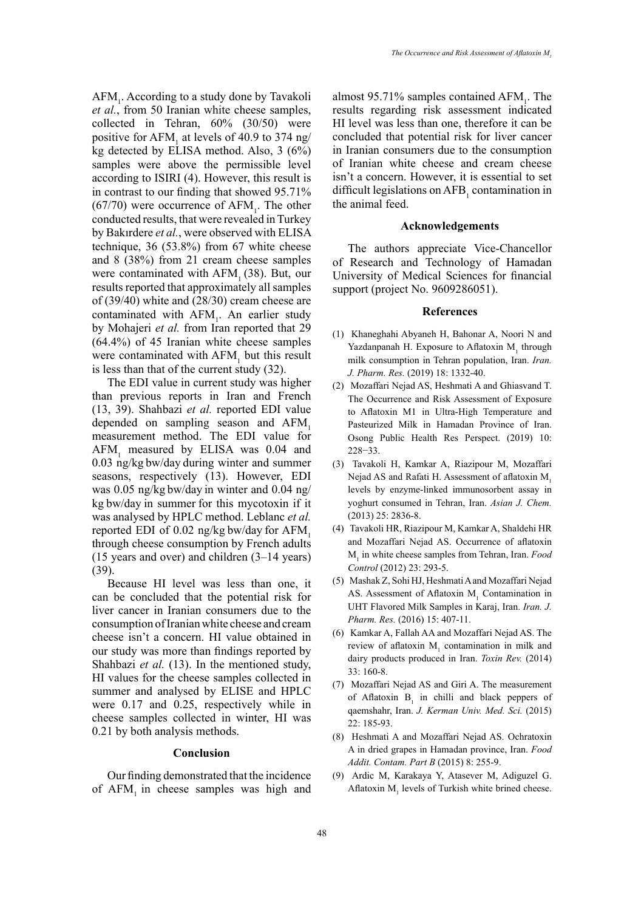AFM<sub>1</sub>. According to a study done by Tavakoli *et al.*, from 50 Iranian white cheese samples, collected in Tehran, 60% (30/50) were positive for  $AFM_1$  at levels of 40.9 to 374 ng/ kg detected by ELISA method. Also, 3 (6%) samples were above the permissible level according to ISIRI (4). However, this result is in contrast to our finding that showed 95.71%  $(67/70)$  were occurrence of AFM<sub>1</sub>. The other conducted results, that were revealed in Turkey by Bakırdere *et al.*, were observed with ELISA technique, 36 (53.8%) from 67 white cheese and 8 (38%) from 21 cream cheese samples were contaminated with  $AFM<sub>1</sub> (38)$ . But, our results reported that approximately all samples of (39/40) white and (28/30) cream cheese are contaminated with  $AFM<sub>1</sub>$ . An earlier study by Mohajeri *et al.* from Iran reported that 29 (64.4%) of 45 Iranian white cheese samples were contaminated with  $AFM<sub>1</sub>$  but this result is less than that of the current study (32).

The EDI value in current study was higher than previous reports in Iran and French (13, 39). Shahbazi *et al.* reported EDI value depended on sampling season and AFM, measurement method. The EDI value for  $AFM<sub>1</sub>$  measured by ELISA was 0.04 and 0.03 ng/kg bw/day during winter and summer seasons, respectively (13). However, EDI was 0.05 ng/kg bw/day in winter and 0.04 ng/ kg bw/day in summer for this mycotoxin if it was analysed by HPLC method. Leblanc *et al.* reported EDI of  $0.02$  ng/kg bw/day for AFM. through cheese consumption by French adults (15 years and over) and children (3–14 years) (39).

Because HI level was less than one, it can be concluded that the potential risk for liver cancer in Iranian consumers due to the consumption of Iranian white cheese and cream cheese isn't a concern. HI value obtained in our study was more than findings reported by Shahbazi *et al.* (13). In the mentioned study, HI values for the cheese samples collected in summer and analysed by ELISE and HPLC were 0.17 and 0.25, respectively while in cheese samples collected in winter, HI was 0.21 by both analysis methods.

## **Conclusion**

Our finding demonstrated that the incidence of AFM, in cheese samples was high and almost 95.71% samples contained  $AFM_1$ . The results regarding risk assessment indicated HI level was less than one, therefore it can be concluded that potential risk for liver cancer in Iranian consumers due to the consumption of Iranian white cheese and cream cheese isn't a concern. However, it is essential to set difficult legislations on  $AFB<sub>1</sub>$  contamination in the animal feed.

## **Acknowledgements**

The authors appreciate Vice-Chancellor of Research and Technology of Hamadan University of Medical Sciences for financial support (project No. 9609286051).

#### **References**

- (1) Khaneghahi Abyaneh H, Bahonar A, Noori N and Yazdanpanah H. Exposure to Aflatoxin  $M_1$  through milk consumption in Tehran population, Iran. *Iran. J. Pharm. Res.* (2019) 18: 1332-40.
- (2) Mozaffari Nejad AS, Heshmati A and Ghiasvand T. The Occurrence and Risk Assessment of Exposure to Aflatoxin M1 in Ultra-High Temperature and Pasteurized Milk in Hamadan Province of Iran. Osong Public Health Res Perspect. (2019) 10: 228−33.
- (3) Tavakoli H, Kamkar A, Riazipour M, Mozaffari Nejad AS and Rafati H. Assessment of aflatoxin M<sub>1</sub> levels by enzyme-linked immunosorbent assay in yoghurt consumed in Tehran, Iran. *Asian J. Chem.* (2013) 25: 2836-8.
- (4) Tavakoli HR, Riazipour M, Kamkar A, Shaldehi HR and Mozaffari Nejad AS. Occurrence of aflatoxin M1 in white cheese samples from Tehran, Iran. *Food Control* (2012) 23: 293-5.
- (5) Mashak Z, Sohi HJ, Heshmati A and Mozaffari Nejad AS. Assessment of Aflatoxin  $M<sub>1</sub>$  Contamination in UHT Flavored Milk Samples in Karaj, Iran. *Iran. J. Pharm. Res.* (2016) 15: 407-11.
- (6) Kamkar A, Fallah AA and Mozaffari Nejad AS. The review of aflatoxin  $M<sub>1</sub>$  contamination in milk and dairy products produced in Iran. *Toxin Rev.* (2014) 33: 160-8.
- (7) Mozaffari Nejad AS and Giri A. The measurement of Aflatoxin  $B_1$  in chilli and black peppers of qaemshahr, Iran. *J. Kerman Univ. Med. Sci.* (2015) 22: 185-93.
- (8) Heshmati A and Mozaffari Nejad AS. Ochratoxin A in dried grapes in Hamadan province, Iran. *Food Addit. Contam. Part B* (2015) 8: 255-9.
- (9) Ardic M, Karakaya Y, Atasever M, Adiguzel G. Aflatoxin  $M<sub>1</sub>$  levels of Turkish white brined cheese.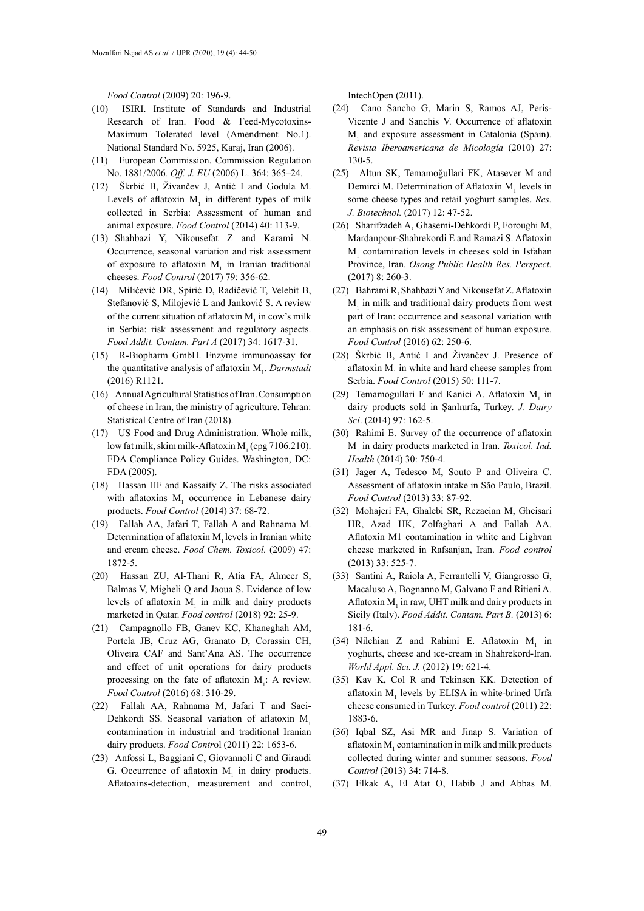*Food Control* (2009) 20: 196-9.

- (10) ISIRI. Institute of Standards and Industrial Research of Iran. Food & Feed-Mycotoxins-Maximum Tolerated level (Amendment No.1). National Standard No. 5925, Karaj, Iran (2006).
- (11) European Commission. Commission Regulation No. 1881/2006*. Off. J. EU* (2006) L. 364: 365–24.
- (12) Škrbić B, Živančev J, Antić I and Godula M. Levels of aflatoxin  $M<sub>1</sub>$  in different types of milk collected in Serbia: Assessment of human and animal exposure. *Food Control* (2014) 40: 113-9.
- (13) Shahbazi Y, Nikousefat Z and Karami N. Occurrence, seasonal variation and risk assessment of exposure to aflatoxin  $M<sub>1</sub>$  in Iranian traditional cheeses. *Food Control* (2017) 79: 356-62.
- (14) Milićević DR, Spirić D, Radičević T, Velebit B, Stefanović S, Milojević L and Janković S. A review of the current situation of aflatoxin  $M_1$  in cow's milk in Serbia: risk assessment and regulatory aspects. *Food Addit. Contam. Part A* (2017) 34: 1617-31.
- (15) R-Biopharm GmbH. Enzyme immunoassay for the quantitative analysis of aflatoxin M<sub>1</sub>. *Darmstadt* (2016) R1121**.**
- (16) Annual Agricultural Statistics of Iran. Consumption of cheese in Iran, the ministry of agriculture. Tehran: Statistical Centre of Iran (2018).
- (17) US Food and Drug Administration. Whole milk, low fat milk, skim milk-Aflatoxin  $M_1$  (cpg 7106.210). FDA Compliance Policy Guides. Washington, DC: FDA (2005).
- (18) Hassan HF and Kassaify Z. The risks associated with aflatoxins  $M<sub>1</sub>$  occurrence in Lebanese dairy products. *Food Control* (2014) 37: 68-72.
- (19) Fallah AA, Jafari T, Fallah A and Rahnama M. Determination of aflatoxin  $M<sub>1</sub>$  levels in Iranian white and cream cheese. *Food Chem. Toxicol.* (2009) 47: 1872-5.
- (20) Hassan ZU, Al-Thani R, Atia FA, Almeer S, Balmas V, Migheli Q and Jaoua S. Evidence of low levels of aflatoxin  $M<sub>1</sub>$  in milk and dairy products marketed in Qatar. *Food control* (2018) 92: 25-9.
- (21) Campagnollo FB, Ganev KC, Khaneghah AM, Portela JB, Cruz AG, Granato D, Corassin CH, Oliveira CAF and Sant'Ana AS. The occurrence and effect of unit operations for dairy products processing on the fate of aflatoxin  $M<sub>1</sub>$ : A review. *Food Control* (2016) 68: 310-29.
- (22) Fallah AA, Rahnama M, Jafari T and Saei-Dehkordi SS. Seasonal variation of aflatoxin M. contamination in industrial and traditional Iranian dairy products. *Food Contr*ol (2011) 22: 1653-6.
- (23) Anfossi L, Baggiani C, Giovannoli C and Giraudi G. Occurrence of aflatoxin  $M<sub>1</sub>$  in dairy products. Aflatoxins-detection, measurement and control,

IntechOpen (2011).

- (24) Cano Sancho G, Marin S, Ramos AJ, Peris-Vicente J and Sanchis V. Occurrence of aflatoxin  $M<sub>1</sub>$  and exposure assessment in Catalonia (Spain). *Revista Iberoamericana de Micología* (2010) 27: 130-5.
- (25) Altun SK, Temamoǧullari FK, Atasever M and Demirci M. Determination of Aflatoxin  $M<sub>1</sub>$  levels in some cheese types and retail yoghurt samples. *Res. J. Biotechnol.* (2017) 12: 47-52.
- (26) Sharifzadeh A, Ghasemi-Dehkordi P, Foroughi M, Mardanpour-Shahrekordi E and Ramazi S. Aflatoxin  $M<sub>1</sub>$  contamination levels in cheeses sold in Isfahan Province, Iran. *Osong Public Health Res. Perspect.* (2017) 8: 260-3.
- (27) Bahrami R, Shahbazi Y and Nikousefat Z. Aflatoxin  $M<sub>1</sub>$  in milk and traditional dairy products from west part of Iran: occurrence and seasonal variation with an emphasis on risk assessment of human exposure. *Food Control* (2016) 62: 250-6.
- (28) Škrbić B, Antić I and Živančev J. Presence of aflatoxin  $M<sub>1</sub>$  in white and hard cheese samples from Serbia. *Food Control* (2015) 50: 111-7.
- (29) Temamogullari F and Kanici A. Aflatoxin  $M<sub>1</sub>$  in dairy products sold in Şanlıurfa, Turkey. *J. Dairy Sci*. (2014) 97: 162-5.
- (30) Rahimi E. Survey of the occurrence of aflatoxin M1 in dairy products marketed in Iran. *Toxicol. Ind. Health* (2014) 30: 750-4.
- (31) Jager A, Tedesco M, Souto P and Oliveira C. Assessment of aflatoxin intake in São Paulo, Brazil. *Food Control* (2013) 33: 87-92.
- (32) Mohajeri FA, Ghalebi SR, Rezaeian M, Gheisari HR, Azad HK, Zolfaghari A and Fallah AA. Aflatoxin M1 contamination in white and Lighvan cheese marketed in Rafsanjan, Iran. *Food control*  (2013) 33: 525-7.
- (33) Santini A, Raiola A, Ferrantelli V, Giangrosso G, Macaluso A, Bognanno M, Galvano F and Ritieni A. Aflatoxin  $M<sub>1</sub>$  in raw, UHT milk and dairy products in Sicily (Italy). *Food Addit. Contam. Part B.* (2013) 6: 181-6.
- (34) Nilchian Z and Rahimi E. Aflatoxin  $M_1$  in yoghurts, cheese and ice-cream in Shahrekord-Iran. *World Appl. Sci. J.* (2012) 19: 621-4.
- (35) Kav K, Col R and Tekinsen KK. Detection of aflatoxin  $M<sub>1</sub>$  levels by ELISA in white-brined Urfa cheese consumed in Turkey. *Food control* (2011) 22: 1883-6.
- (36) Iqbal SZ, Asi MR and Jinap S. Variation of aflatoxin  $M<sub>1</sub>$  contamination in milk and milk products collected during winter and summer seasons. *Food Control* (2013) 34: 714-8.
- (37) Elkak A, El Atat O, Habib J and Abbas M.